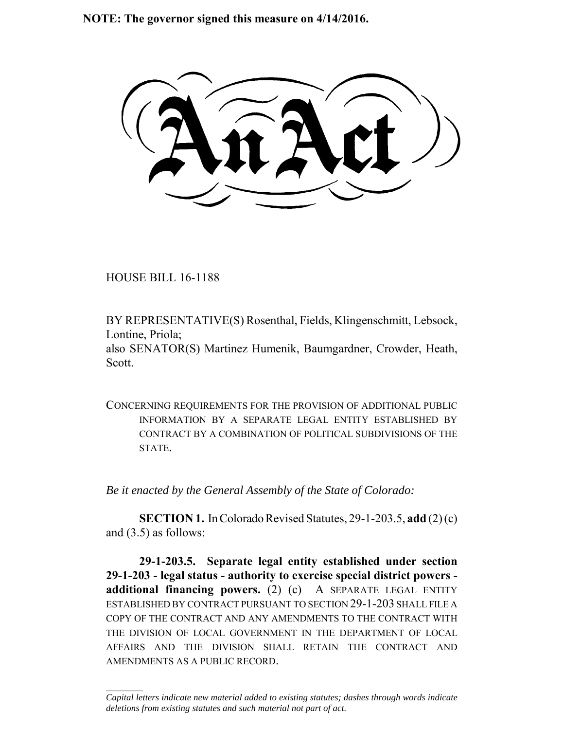**NOTE: The governor signed this measure on 4/14/2016.**

HOUSE BILL 16-1188

 $\frac{1}{2}$ 

BY REPRESENTATIVE(S) Rosenthal, Fields, Klingenschmitt, Lebsock, Lontine, Priola;

also SENATOR(S) Martinez Humenik, Baumgardner, Crowder, Heath, Scott.

CONCERNING REQUIREMENTS FOR THE PROVISION OF ADDITIONAL PUBLIC INFORMATION BY A SEPARATE LEGAL ENTITY ESTABLISHED BY CONTRACT BY A COMBINATION OF POLITICAL SUBDIVISIONS OF THE **STATE** 

*Be it enacted by the General Assembly of the State of Colorado:*

**SECTION 1.** In Colorado Revised Statutes, 29-1-203.5, **add** (2) (c) and (3.5) as follows:

**29-1-203.5. Separate legal entity established under section 29-1-203 - legal status - authority to exercise special district powers additional financing powers.** (2) (c) A SEPARATE LEGAL ENTITY ESTABLISHED BY CONTRACT PURSUANT TO SECTION 29-1-203 SHALL FILE A COPY OF THE CONTRACT AND ANY AMENDMENTS TO THE CONTRACT WITH THE DIVISION OF LOCAL GOVERNMENT IN THE DEPARTMENT OF LOCAL AFFAIRS AND THE DIVISION SHALL RETAIN THE CONTRACT AND AMENDMENTS AS A PUBLIC RECORD.

*Capital letters indicate new material added to existing statutes; dashes through words indicate deletions from existing statutes and such material not part of act.*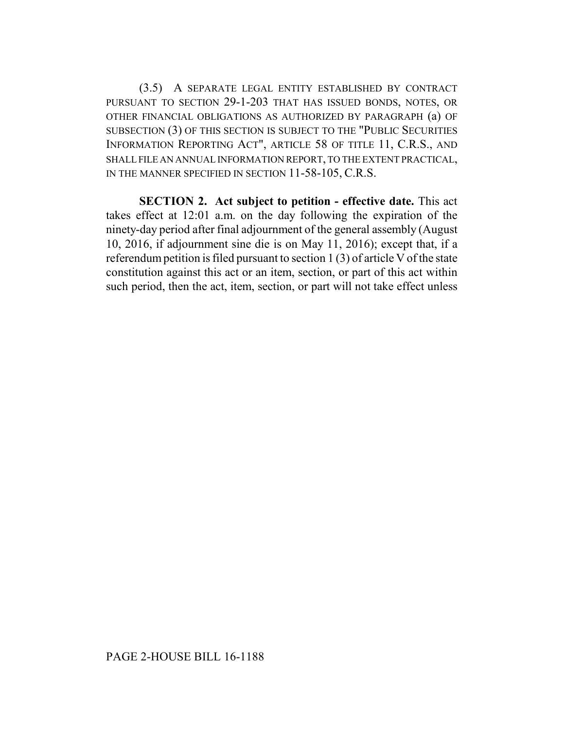(3.5) A SEPARATE LEGAL ENTITY ESTABLISHED BY CONTRACT PURSUANT TO SECTION 29-1-203 THAT HAS ISSUED BONDS, NOTES, OR OTHER FINANCIAL OBLIGATIONS AS AUTHORIZED BY PARAGRAPH (a) OF SUBSECTION (3) OF THIS SECTION IS SUBJECT TO THE "PUBLIC SECURITIES INFORMATION REPORTING ACT", ARTICLE 58 OF TITLE 11, C.R.S., AND SHALL FILE AN ANNUAL INFORMATION REPORT, TO THE EXTENT PRACTICAL, IN THE MANNER SPECIFIED IN SECTION 11-58-105, C.R.S.

**SECTION 2. Act subject to petition - effective date.** This act takes effect at 12:01 a.m. on the day following the expiration of the ninety-day period after final adjournment of the general assembly (August 10, 2016, if adjournment sine die is on May 11, 2016); except that, if a referendum petition is filed pursuant to section 1 (3) of article V of the state constitution against this act or an item, section, or part of this act within such period, then the act, item, section, or part will not take effect unless